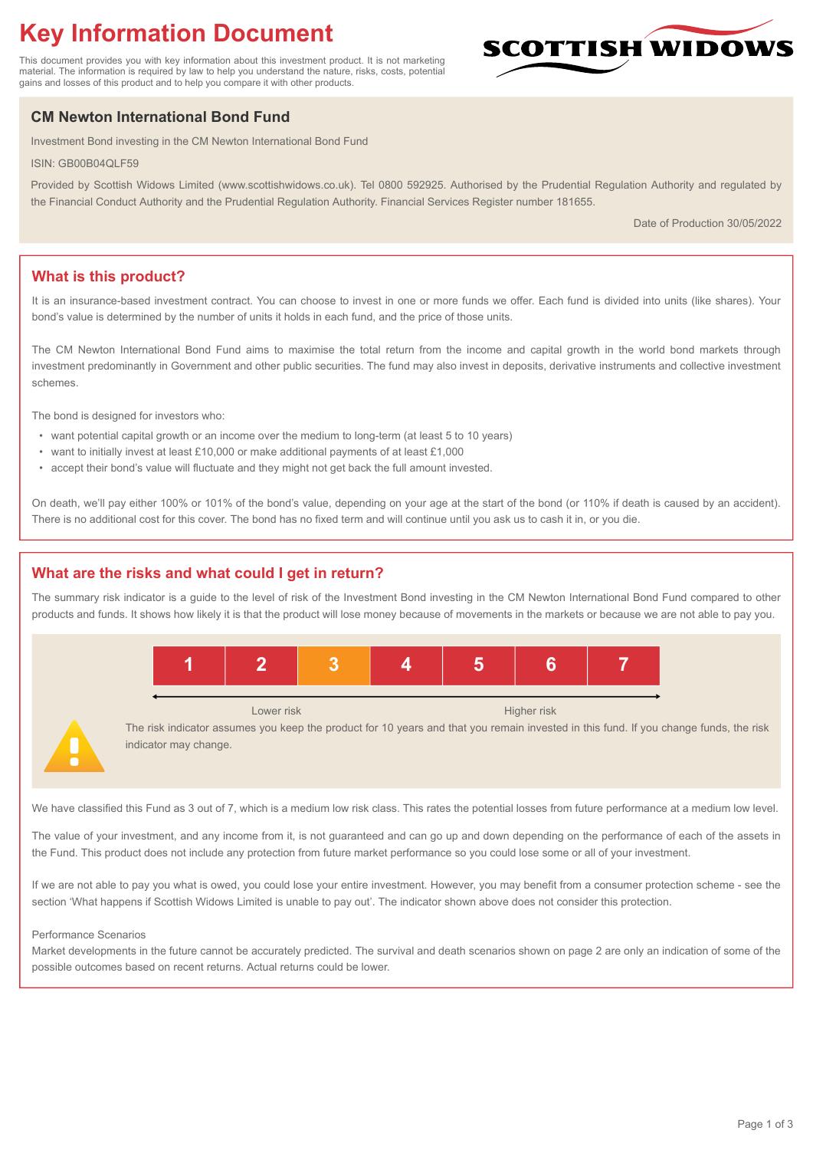# **Key Information Document**

This document provides you with key information about this investment product. It is not marketing material. The information is required by law to help you understand the nature, risks, costs, potential gains and losses of this product and to help you compare it with other products.

# **CM Newton International Bond Fund**

Investment Bond investing in the CM Newton International Bond Fund

ISIN: GB00B04QLF59

Provided by Scottish Widows Limited (www.scottishwidows.co.uk). Tel 0800 592925. Authorised by the Prudential Regulation Authority and regulated by the Financial Conduct Authority and the Prudential Regulation Authority. Financial Services Register number 181655.

Date of Production 30/05/2022

**SCOTTISH WIDOW** 

# **What is this product?**

It is an insurance-based investment contract. You can choose to invest in one or more funds we offer. Each fund is divided into units (like shares). Your bond's value is determined by the number of units it holds in each fund, and the price of those units.

The CM Newton International Bond Fund aims to maximise the total return from the income and capital growth in the world bond markets through investment predominantly in Government and other public securities. The fund may also invest in deposits, derivative instruments and collective investment schemes.

The bond is designed for investors who:

- want potential capital growth or an income over the medium to long-term (at least 5 to 10 years)
- want to initially invest at least £10,000 or make additional payments of at least £1,000
- accept their bond's value will fluctuate and they might not get back the full amount invested.

On death, we'll pay either 100% or 101% of the bond's value, depending on your age at the start of the bond (or 110% if death is caused by an accident). There is no additional cost for this cover. The bond has no fixed term and will continue until you ask us to cash it in, or you die.

#### **What are the risks and what could I get in return?**

The summary risk indicator is a guide to the level of risk of the Investment Bond investing in the CM Newton International Bond Fund compared to other products and funds. It shows how likely it is that the product will lose money because of movements in the markets or because we are not able to pay you.



The risk indicator assumes you keep the product for 10 years and that you remain invested in this fund. If you change funds, the risk indicator may change.

We have classified this Fund as 3 out of 7, which is a medium low risk class. This rates the potential losses from future performance at a medium low level.

The value of your investment, and any income from it, is not guaranteed and can go up and down depending on the performance of each of the assets in the Fund. This product does not include any protection from future market performance so you could lose some or all of your investment.

If we are not able to pay you what is owed, you could lose your entire investment. However, you may benefit from a consumer protection scheme - see the section 'What happens if Scottish Widows Limited is unable to pay out'. The indicator shown above does not consider this protection.

#### Performance Scenarios

Market developments in the future cannot be accurately predicted. The survival and death scenarios shown on page 2 are only an indication of some of the possible outcomes based on recent returns. Actual returns could be lower.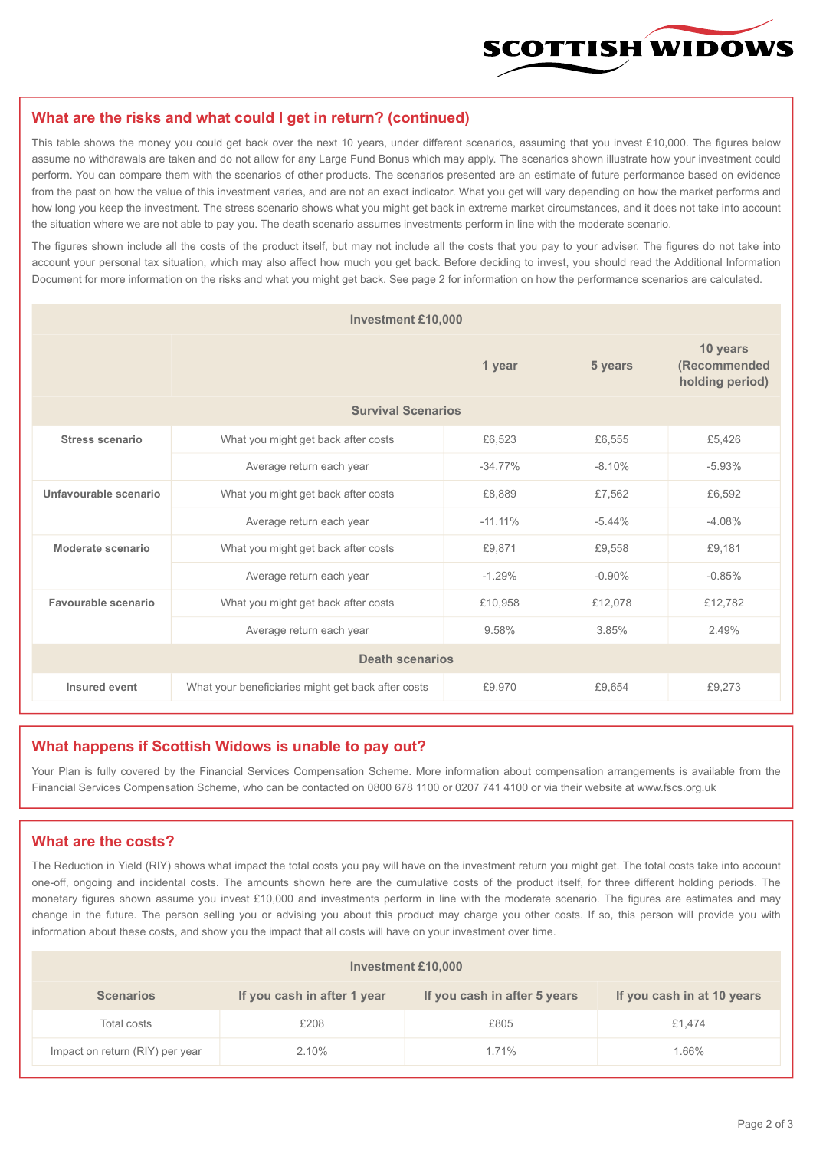

#### **What are the risks and what could I get in return? (continued)**

This table shows the money you could get back over the next 10 years, under different scenarios, assuming that you invest £10,000. The figures below assume no withdrawals are taken and do not allow for any Large Fund Bonus which may apply. The scenarios shown illustrate how your investment could perform. You can compare them with the scenarios of other products. The scenarios presented are an estimate of future performance based on evidence from the past on how the value of this investment varies, and are not an exact indicator. What you get will vary depending on how the market performs and how long you keep the investment. The stress scenario shows what you might get back in extreme market circumstances, and it does not take into account the situation where we are not able to pay you. The death scenario assumes investments perform in line with the moderate scenario.

The figures shown include all the costs of the product itself, but may not include all the costs that you pay to your adviser. The figures do not take into account your personal tax situation, which may also affect how much you get back. Before deciding to invest, you should read the Additional Information Document for more information on the risks and what you might get back. See page 2 for information on how the performance scenarios are calculated.

| <b>Investment £10,000</b> |                                                    |            |          |                                             |  |  |
|---------------------------|----------------------------------------------------|------------|----------|---------------------------------------------|--|--|
|                           | 1 year                                             |            | 5 years  | 10 years<br>(Recommended<br>holding period) |  |  |
| <b>Survival Scenarios</b> |                                                    |            |          |                                             |  |  |
| <b>Stress scenario</b>    | What you might get back after costs                | £6,523     | £6,555   | £5,426                                      |  |  |
|                           | $-34.77\%$<br>Average return each year             |            | $-8.10%$ | $-5.93%$                                    |  |  |
| Unfavourable scenario     | What you might get back after costs<br>£8,889      |            | £7,562   | £6,592                                      |  |  |
|                           | Average return each year                           | $-11.11\%$ | $-5.44%$ | $-4.08%$                                    |  |  |
| Moderate scenario         | What you might get back after costs                | £9,871     | £9,558   | £9.181                                      |  |  |
|                           | Average return each year                           | $-1.29%$   | $-0.90%$ | $-0.85%$                                    |  |  |
| Favourable scenario       | What you might get back after costs                | £10,958    | £12,078  | £12,782                                     |  |  |
|                           | 9.58%<br>Average return each year                  |            | 3.85%    | 2.49%                                       |  |  |
| <b>Death scenarios</b>    |                                                    |            |          |                                             |  |  |
| Insured event             | What your beneficiaries might get back after costs | £9,970     | £9.654   | £9,273                                      |  |  |

#### **What happens if Scottish Widows is unable to pay out?**

Your Plan is fully covered by the Financial Services Compensation Scheme. More information about compensation arrangements is available from the Financial Services Compensation Scheme, who can be contacted on 0800 678 1100 or 0207 741 4100 or via their website at www.fscs.org.uk

# **What are the costs?**

The Reduction in Yield (RIY) shows what impact the total costs you pay will have on the investment return you might get. The total costs take into account one-off, ongoing and incidental costs. The amounts shown here are the cumulative costs of the product itself, for three different holding periods. The monetary figures shown assume you invest £10,000 and investments perform in line with the moderate scenario. The figures are estimates and may change in the future. The person selling you or advising you about this product may charge you other costs. If so, this person will provide you with information about these costs, and show you the impact that all costs will have on your investment over time.

| <b>Investment £10,000</b>       |                             |                              |                            |  |  |  |
|---------------------------------|-----------------------------|------------------------------|----------------------------|--|--|--|
| <b>Scenarios</b>                | If you cash in after 1 year | If you cash in after 5 years | If you cash in at 10 years |  |  |  |
| Total costs                     | £208                        | £805                         | £1,474                     |  |  |  |
| Impact on return (RIY) per year | 2.10%                       | 1.71%                        | 1.66%                      |  |  |  |